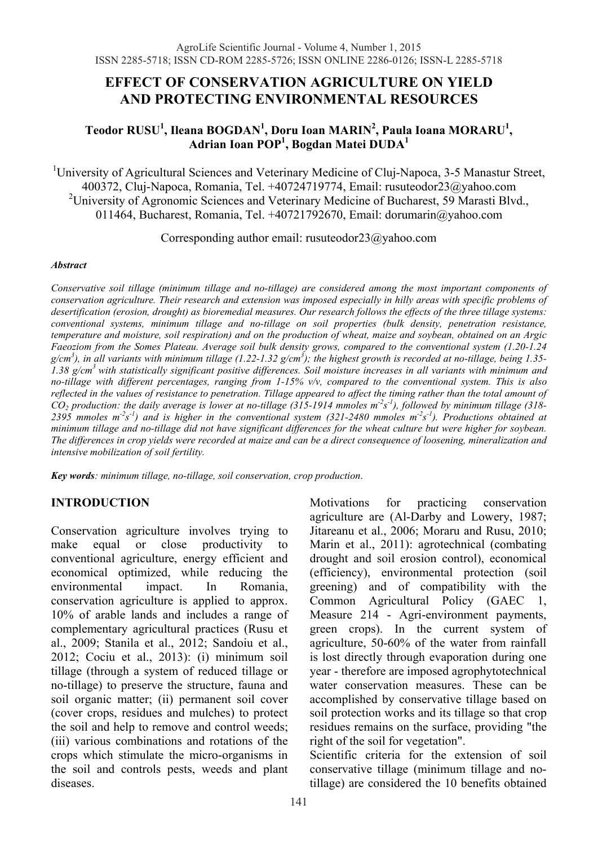# **EFFECT OF CONSERVATION AGRICULTURE ON YIELD AND PROTECTING ENVIRONMENTAL RESOURCES**

### $\boldsymbol{\mathrm{T}}$ eodor RUSU<sup>1</sup>, Ileana BOGDAN<sup>1</sup>, Doru Ioan MARIN<sup>2</sup>, Paula Ioana MORARU<sup>1</sup>, **Adrian Ioan POP1 , Bogdan Matei DUDA1**

<sup>1</sup>University of Agricultural Sciences and Veterinary Medicine of Cluj-Napoca, 3-5 Manastur Street, 400372, Cluj-Napoca, Romania, Tel. +40724719774, Email: rusuteodor23@yahoo.com <sup>2</sup>University of Agronomic Sciences and Veterinary Medicine of Bucharest, 59 Marasti Blvd., 011464, Bucharest, Romania, Tel. +40721792670, Email: dorumarin@yahoo.com

Corresponding author email: rusuteodor23@yahoo.com

#### *Abstract*

*Conservative soil tillage (minimum tillage and no-tillage) are considered among the most important components of conservation agriculture. Their research and extension was imposed especially in hilly areas with specific problems of desertification (erosion, drought) as bioremedial measures. Our research follows the effects of the three tillage systems: conventional systems, minimum tillage and no-tillage on soil properties (bulk density, penetration resistance, temperature and moisture, soil respiration) and on the production of wheat, maize and soybean, obtained on an Argic Faeoziom from the Somes Plateau. Average soil bulk density grows, compared to the conventional system (1.20-1.24 g/cm<sup>3</sup> ), in all variants with minimum tillage (1.22-1.32 g/cm<sup>3</sup> ); the highest growth is recorded at no-tillage, being 1.35- 1.38 g/cm3 with statistically significant positive differences. Soil moisture increases in all variants with minimum and no-tillage with different percentages, ranging from 1-15% v/v, compared to the conventional system. This is also reflected in the values of resistance to penetration. Tillage appeared to affect the timing rather than the total amount of CO2 production: the daily average is lower at no-tillage (315-1914 mmoles m-2s -1), followed by minimum tillage (318-* 2395 mmoles m<sup>-2</sup>s<sup>-1</sup>) and is higher in the conventional system (321-2480 mmoles m<sup>-2</sup>s<sup>-1</sup>). Productions obtained at *minimum tillage and no-tillage did not have significant differences for the wheat culture but were higher for soybean. The differences in crop yields were recorded at maize and can be a direct consequence of loosening, mineralization and intensive mobilization of soil fertility.* 

*Key words: minimum tillage, no-tillage, soil conservation, crop production*.

### **INTRODUCTION**

Conservation agriculture involves trying to make equal or close productivity to conventional agriculture, energy efficient and economical optimized, while reducing the environmental impact. In Romania, conservation agriculture is applied to approx. 10% of arable lands and includes a range of complementary agricultural practices (Rusu et al., 2009; Stanila et al., 2012; Sandoiu et al., 2012; Cociu et al., 2013): (i) minimum soil tillage (through a system of reduced tillage or no-tillage) to preserve the structure, fauna and soil organic matter; (ii) permanent soil cover (cover crops, residues and mulches) to protect the soil and help to remove and control weeds; (iii) various combinations and rotations of the crops which stimulate the micro-organisms in the soil and controls pests, weeds and plant diseases.

Motivations for practicing conservation agriculture are (Al-Darby and Lowery, 1987; Jitareanu et al., 2006; Moraru and Rusu, 2010; Marin et al., 2011): agrotechnical (combating drought and soil erosion control), economical (efficiency), environmental protection (soil greening) and of compatibility with the Common Agricultural Policy (GAEC 1, Measure 214 - Agri-environment payments, green crops). In the current system of agriculture, 50-60% of the water from rainfall is lost directly through evaporation during one year - therefore are imposed agrophytotechnical water conservation measures. These can be accomplished by conservative tillage based on soil protection works and its tillage so that crop residues remains on the surface, providing "the right of the soil for vegetation".

Scientific criteria for the extension of soil conservative tillage (minimum tillage and notillage) are considered the 10 benefits obtained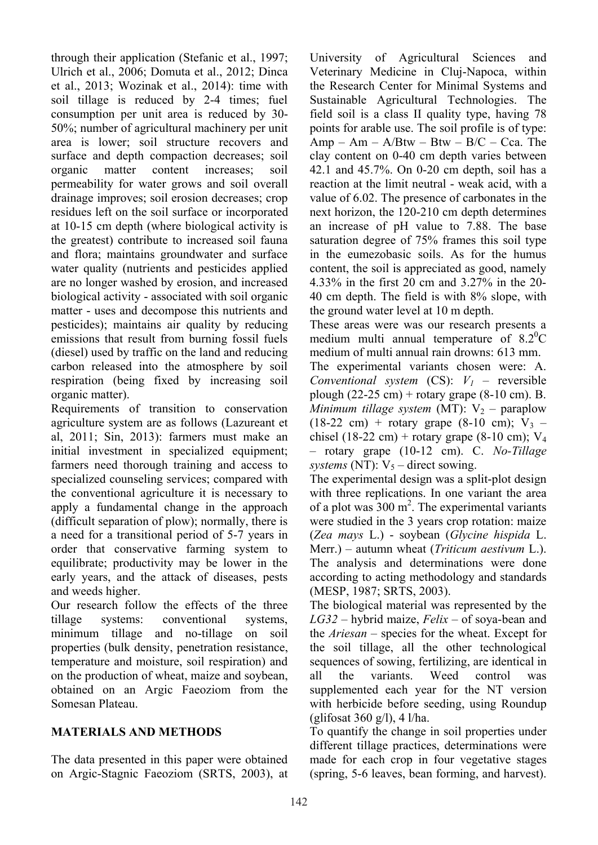through their application (Stefanic et al., 1997; Ulrich et al., 2006; Domuta et al., 2012; Dinca et al., 2013; Wozinak et al., 2014): time with soil tillage is reduced by 2-4 times; fuel consumption per unit area is reduced by 30- 50%; number of agricultural machinery per unit area is lower; soil structure recovers and surface and depth compaction decreases; soil organic matter content increases; soil permeability for water grows and soil overall drainage improves; soil erosion decreases; crop residues left on the soil surface or incorporated at 10-15 cm depth (where biological activity is the greatest) contribute to increased soil fauna and flora; maintains groundwater and surface water quality (nutrients and pesticides applied are no longer washed by erosion, and increased biological activity - associated with soil organic matter - uses and decompose this nutrients and pesticides); maintains air quality by reducing emissions that result from burning fossil fuels (diesel) used by traffic on the land and reducing carbon released into the atmosphere by soil respiration (being fixed by increasing soil organic matter).

Requirements of transition to conservation agriculture system are as follows (Lazureant et al, 2011; Sin, 2013): farmers must make an initial investment in specialized equipment; farmers need thorough training and access to specialized counseling services; compared with the conventional agriculture it is necessary to apply a fundamental change in the approach (difficult separation of plow); normally, there is a need for a transitional period of 5-7 years in order that conservative farming system to equilibrate; productivity may be lower in the early years, and the attack of diseases, pests and weeds higher.

Our research follow the effects of the three tillage systems: conventional systems, minimum tillage and no-tillage on soil properties (bulk density, penetration resistance, temperature and moisture, soil respiration) and on the production of wheat, maize and soybean, obtained on an Argic Faeoziom from the Somesan Plateau.

## **MATERIALS AND METHODS**

The data presented in this paper were obtained on Argic-Stagnic Faeoziom (SRTS, 2003), at

University of Agricultural Sciences and Veterinary Medicine in Cluj-Napoca, within the Research Center for Minimal Systems and Sustainable Agricultural Technologies. The field soil is a class II quality type, having 78 points for arable use. The soil profile is of type: Amp – Am –  $A/Btw - Btw - B/C - Cca$ . The clay content on 0-40 cm depth varies between 42.1 and 45.7%. On 0-20 cm depth, soil has a reaction at the limit neutral - weak acid, with a value of 6.02. The presence of carbonates in the next horizon, the 120-210 cm depth determines an increase of pH value to 7.88. The base saturation degree of 75% frames this soil type in the eumezobasic soils. As for the humus content, the soil is appreciated as good, namely 4.33% in the first 20 cm and 3.27% in the 20- 40 cm depth. The field is with 8% slope, with the ground water level at 10 m depth.

These areas were was our research presents a medium multi annual temperature of  $8.2^{\circ}$ C medium of multi annual rain drowns: 613 mm.

The experimental variants chosen were: A. *Conventional system* (CS): *V1 –* reversible plough  $(22-25 \text{ cm})$  + rotary grape  $(8-10 \text{ cm})$ . B. *Minimum tillage system* (MT):  $V_2$  – paraplow  $(18-22 \text{ cm})$  + rotary grape  $(8-10 \text{ cm})$ ; V<sub>3</sub> – chisel (18-22 cm) + rotary grape (8-10 cm);  $V_4$ – rotary grape (10-12 cm). C. *No-Tillage systems* (NT):  $V_5$  – direct sowing.

The experimental design was a split-plot design with three replications. In one variant the area of a plot was  $300 \text{ m}^2$ . The experimental variants were studied in the 3 years crop rotation: maize (*Zea mays* L.) - soybean (*Glycine hispida* L. Merr.) – autumn wheat (*Triticum aestivum* L.). The analysis and determinations were done according to acting methodology and standards (MESP, 1987; SRTS, 2003).

The biological material was represented by the *LG32* – hybrid maize, *Felix* – of soya-bean and the *Ariesan* – species for the wheat. Except for the soil tillage, all the other technological sequences of sowing, fertilizing, are identical in all the variants. Weed control was supplemented each year for the NT version with herbicide before seeding, using Roundup (glifosat 360 g/l), 4 l/ha.

To quantify the change in soil properties under different tillage practices, determinations were made for each crop in four vegetative stages (spring, 5-6 leaves, bean forming, and harvest).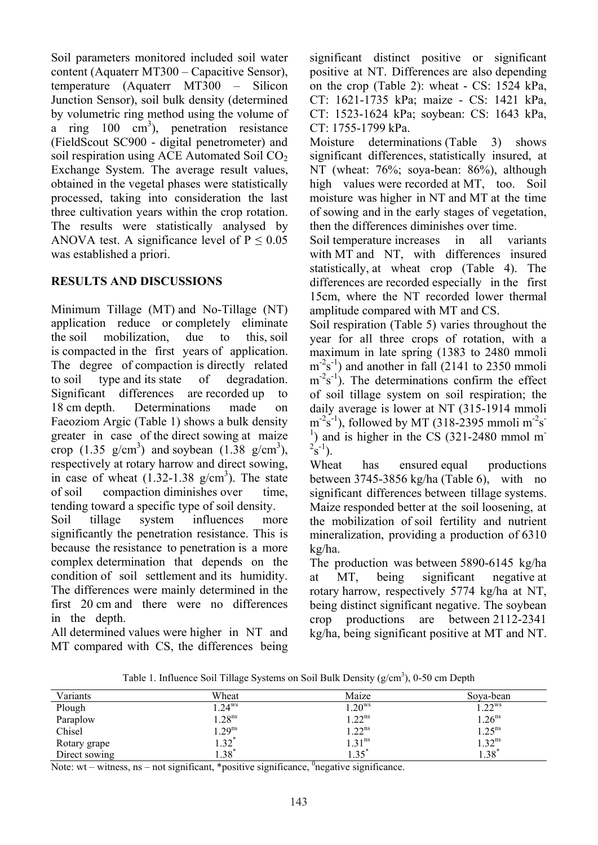Soil parameters monitored included soil water content (Aquaterr MT300 – Capacitive Sensor), temperature (Aquaterr MT300 – Silicon Junction Sensor), soil bulk density (determined by volumetric ring method using the volume of a ring  $100 \text{ cm}^3$ ), penetration resistance (FieldScout SC900 - digital penetrometer) and soil respiration using ACE Automated Soil  $CO<sub>2</sub>$ Exchange System. The average result values, obtained in the vegetal phases were statistically processed, taking into consideration the last three cultivation years within the crop rotation. The results were statistically analysed by ANOVA test. A significance level of  $P \le 0.05$ was established a priori.

### **RESULTS AND DISCUSSIONS**

Minimum Tillage (MT) and No-Tillage (NT) application reduce or completely eliminate the soil mobilization, due to this, soil is compacted in the first years of application. The degree of compaction is directly related to soil type and its state of degradation. Significant differences are recorded up to 18 cm depth. Determinations made on Faeoziom Argic (Table 1) shows a bulk density greater in case of the direct sowing at maize crop  $(1.35 \text{ g/cm}^3)$  and soybean  $(1.38 \text{ g/cm}^3)$ , respectively at rotary harrow and direct sowing, in case of wheat  $(1.32 - 1.38)$  g/cm<sup>3</sup>). The state of soil compaction diminishes over time, tending toward a specific type of soil density.

Soil tillage system influences more significantly the penetration resistance. This is because the resistance to penetration is a more complex determination that depends on the condition of soil settlement and its humidity. The differences were mainly determined in the first 20 cm and there were no differences in the depth.

All determined values were higher in NT and MT compared with CS, the differences being significant distinct positive or significant positive at NT. Differences are also depending on the crop (Table 2): wheat - CS: 1524 kPa, CT: 1621-1735 kPa; maize - CS: 1421 kPa, CT: 1523-1624 kPa; soybean: CS: 1643 kPa, CT: 1755-1799 kPa.

Moisture determinations (Table 3) shows significant differences, statistically insured, at NT (wheat: 76%; soya-bean: 86%), although high values were recorded at MT, too. Soil moisture was higher in NT and MT at the time of sowing and in the early stages of vegetation, then the differences diminishes over time.

Soil temperature increases in all variants with MT and NT, with differences insured statistically, at wheat crop (Table 4). The differences are recorded especially in the first 15cm, where the NT recorded lower thermal amplitude compared with MT and CS.

Soil respiration (Table 5) varies throughout the year for all three crops of rotation, with a maximum in late spring (1383 to 2480 mmoli  $m<sup>-2</sup>s<sup>-1</sup>$ ) and another in fall (2141 to 2350 mmoli  $m<sup>-2</sup>s<sup>-1</sup>$ ). The determinations confirm the effect of soil tillage system on soil respiration; the daily average is lower at NT (315-1914 mmoli  $m<sup>-2</sup>s<sup>-1</sup>$ ), followed by MT (318-2395 mmoli  $m<sup>-2</sup>s<sup>-1</sup>$  $<sup>1</sup>$ ) and is higher in the CS (321-2480 mmol m</sup>  $2^{2}S^{-1}$ ).

Wheat has ensured equal productions between 3745-3856 kg/ha (Table 6), with no significant differences between tillage systems. Maize responded better at the soil loosening, at the mobilization of soil fertility and nutrient mineralization, providing a production of 6310 kg/ha.

The production was between 5890-6145 kg/ha at MT, being significant negative at rotary harrow, respectively 5774 kg/ha at NT, being distinct significant negative. The soybean crop productions are between 2112-2341 kg/ha, being significant positive at MT and NT.

Table 1. Influence Soil Tillage Systems on Soil Bulk Density  $(g/cm<sup>3</sup>)$ , 0-50 cm Depth

Note: wt – witness,  $ns$  – not significant, \*positive significance,  $^0$ negative significance.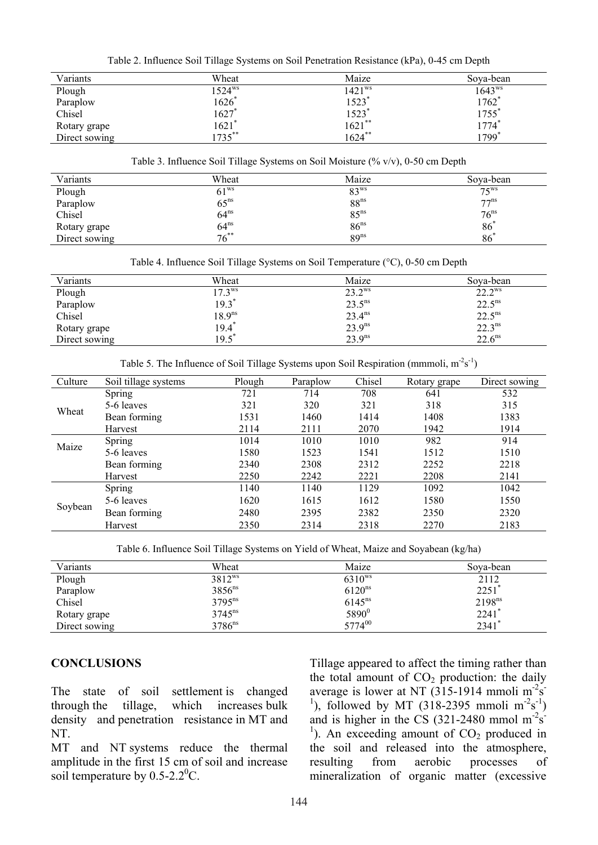Table 2. Influence Soil Tillage Systems on Soil Penetration Resistance (kPa), 0-45 cm Depth

| Variants      | Wheat       | Maize              | Sova-bean    |
|---------------|-------------|--------------------|--------------|
| Plough        | $1524^{ws}$ | 1421 <sup>ws</sup> | $1643^{ws}$  |
| Paraplow      | 1626        | $1523*$            | 1762         |
| Chisel        | 1627'       | 1523*              | 1755         |
| Rotary grape  | $1621*$     | $1621$ **          | 1774 $^\ast$ |
| Direct sowing | $1735$ **   | $1624$ **          | 1799         |

Table 3. Influence Soil Tillage Systems on Soil Moisture (% v/v), 0-50 cm Depth

| Variants      | Wheat            | Maize            | Sova-bean        |
|---------------|------------------|------------------|------------------|
| Plough        | 61 <sup>ws</sup> | 83 <sup>ws</sup> | $75^{\rm WS}$    |
| Paraplow      | $65^{\text{ns}}$ | 88 <sup>ns</sup> | 77 <sup>ns</sup> |
| Chisel        | $64^{ns}$        | 85 <sup>ns</sup> | 76 <sup>ns</sup> |
| Rotary grape  | $64^{ns}$        | 86 <sup>ns</sup> | 86 <sup>3</sup>  |
| Direct sowing | $76^{**}$        | 89 <sup>ns</sup> | 86               |

Table 4. Influence Soil Tillage Systems on Soil Temperature (°C), 0-50 cm Depth

| Variants      | Wheat              | Maize           | Sova-bean       |
|---------------|--------------------|-----------------|-----------------|
| Plough        | $17.3^{\rm ws}$    | $23.2^{\rm ws}$ | $22.2^{\rm ws}$ |
| Paraplow      | 19.3               | $23.5^{ns}$     | $22.5^{ns}$     |
| Chisel        | 18.9 <sup>ns</sup> | $23.4^{ns}$     | $22.5^{ns}$     |
| Rotary grape  | $19.4^*$           | $23.9^{ns}$     | $22.3^{ns}$     |
| Direct sowing | 19.5               | $23.9^{ns}$     | $22.6^{ns}$     |

Table 5. The Influence of Soil Tillage Systems upon Soil Respiration (mmmoli,  $m^2s^1$ )

| Culture | Soil tillage systems | Plough | Paraplow | Chisel | Rotary grape | Direct sowing |
|---------|----------------------|--------|----------|--------|--------------|---------------|
| Wheat   | Spring               | 721    | 714      | 708    | 641          | 532           |
|         | 5-6 leaves           | 321    | 320      | 321    | 318          | 315           |
|         | Bean forming         | 1531   | 1460     | 1414   | 1408         | 1383          |
|         | Harvest              | 2114   | 2111     | 2070   | 1942         | 1914          |
| Maize   | Spring               | 1014   | 1010     | 1010   | 982          | 914           |
|         | 5-6 leaves           | 1580   | 1523     | 1541   | 1512         | 1510          |
|         | Bean forming         | 2340   | 2308     | 2312   | 2252         | 2218          |
|         | Harvest              | 2250   | 2242     | 2221   | 2208         | 2141          |
| Soybean | Spring               | 1140   | 1140     | 1129   | 1092         | 1042          |
|         | 5-6 leaves           | 1620   | 1615     | 1612   | 1580         | 1550          |
|         | Bean forming         | 2480   | 2395     | 2382   | 2350         | 2320          |
|         | Harvest              | 2350   | 2314     | 2318   | 2270         | 2183          |

Table 6. Influence Soil Tillage Systems on Yield of Wheat, Maize and Soyabean (kg/ha)

| Variants      | Wheat                | Maize              | Sova-bean           |
|---------------|----------------------|--------------------|---------------------|
| Plough        | 3812 <sup>ws</sup>   | $6310^{ws}$        | 2112                |
| Paraplow      | 3856 <sup>ns</sup>   | 6120 <sup>ns</sup> | $2251$ <sup>*</sup> |
| Chisel        | $3795^{ns}$          | $6145^{ns}$        | $2198^{ns}$         |
| Rotary grape  | $3745^{ns}$          | 5890 <sup>0</sup>  | $2241$ <sup>*</sup> |
| Direct sowing | $3786$ <sup>ns</sup> | 577400             | $2341*$             |

### **CONCLUSIONS**

The state of soil settlement is changed through the tillage, which increases bulk density and penetration resistance in MT and NT.

MT and NT systems reduce the thermal amplitude in the first 15 cm of soil and increase soil temperature by  $0.5$ -2.2<sup>0</sup>C.

Tillage appeared to affect the timing rather than the total amount of  $CO<sub>2</sub>$  production: the daily average is lower at NT  $(315-1914 \text{ mmoli m}^2)\text{s}$ <sup>1</sup>), followed by MT (318-2395 mmoli  $m<sup>-2</sup>s<sup>-1</sup>$ ) and is higher in the CS  $(321-2480 \text{ mmol m}^2)\text{s}$  $1$ ). An exceeding amount of CO<sub>2</sub> produced in the soil and released into the atmosphere, resulting from aerobic processes of mineralization of organic matter (excessive